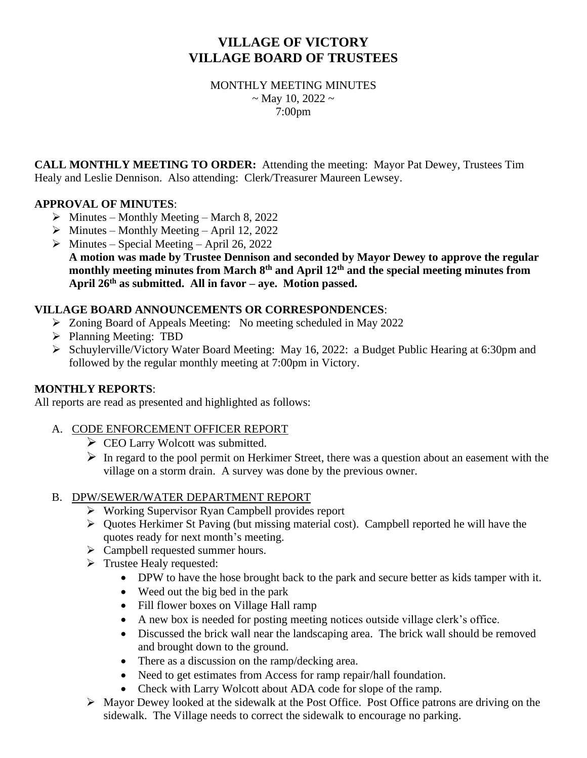# **VILLAGE OF VICTORY VILLAGE BOARD OF TRUSTEES**

MONTHLY MEETING MINUTES  $\sim$  May 10, 2022  $\sim$ 7:00pm

**CALL MONTHLY MEETING TO ORDER:** Attending the meeting: Mayor Pat Dewey, Trustees Tim Healy and Leslie Dennison. Also attending: Clerk/Treasurer Maureen Lewsey.

## **APPROVAL OF MINUTES**:

- $\triangleright$  Minutes Monthly Meeting March 8, 2022
- $\triangleright$  Minutes Monthly Meeting April 12, 2022
- $\triangleright$  Minutes Special Meeting April 26, 2022 **A motion was made by Trustee Dennison and seconded by Mayor Dewey to approve the regular monthly meeting minutes from March 8th and April 12th and the special meeting minutes from April 26th as submitted. All in favor – aye. Motion passed.**

## **VILLAGE BOARD ANNOUNCEMENTS OR CORRESPONDENCES**:

- ➢ Zoning Board of Appeals Meeting: No meeting scheduled in May 2022
- ➢ Planning Meeting: TBD
- ➢ Schuylerville/Victory Water Board Meeting: May 16, 2022: a Budget Public Hearing at 6:30pm and followed by the regular monthly meeting at 7:00pm in Victory.

### **MONTHLY REPORTS**:

All reports are read as presented and highlighted as follows:

## A. CODE ENFORCEMENT OFFICER REPORT

- ➢ CEO Larry Wolcott was submitted.
- $\triangleright$  In regard to the pool permit on Herkimer Street, there was a question about an easement with the village on a storm drain. A survey was done by the previous owner.

### B. DPW/SEWER/WATER DEPARTMENT REPORT

- ➢ Working Supervisor Ryan Campbell provides report
- ➢ Quotes Herkimer St Paving (but missing material cost). Campbell reported he will have the quotes ready for next month's meeting.
- ➢ Campbell requested summer hours.
- ➢ Trustee Healy requested:
	- DPW to have the hose brought back to the park and secure better as kids tamper with it.
	- Weed out the big bed in the park
	- Fill flower boxes on Village Hall ramp
	- A new box is needed for posting meeting notices outside village clerk's office.
	- Discussed the brick wall near the landscaping area. The brick wall should be removed and brought down to the ground.
	- There as a discussion on the ramp/decking area.
	- Need to get estimates from Access for ramp repair/hall foundation.
	- Check with Larry Wolcott about ADA code for slope of the ramp.
- ➢ Mayor Dewey looked at the sidewalk at the Post Office. Post Office patrons are driving on the sidewalk. The Village needs to correct the sidewalk to encourage no parking.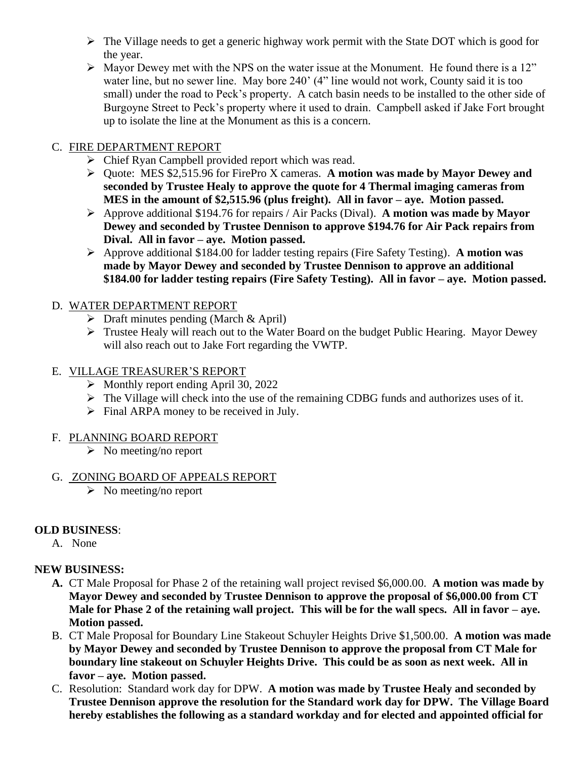- ➢ The Village needs to get a generic highway work permit with the State DOT which is good for the year.
- ➢ Mayor Dewey met with the NPS on the water issue at the Monument. He found there is a 12" water line, but no sewer line. May bore 240' (4" line would not work, County said it is too small) under the road to Peck's property. A catch basin needs to be installed to the other side of Burgoyne Street to Peck's property where it used to drain. Campbell asked if Jake Fort brought up to isolate the line at the Monument as this is a concern.

## C. FIRE DEPARTMENT REPORT

- ➢ Chief Ryan Campbell provided report which was read.
- ➢ Quote: MES \$2,515.96 for FirePro X cameras. **A motion was made by Mayor Dewey and seconded by Trustee Healy to approve the quote for 4 Thermal imaging cameras from MES in the amount of \$2,515.96 (plus freight). All in favor – aye. Motion passed.**
- ➢ Approve additional \$194.76 for repairs / Air Packs (Dival). **A motion was made by Mayor Dewey and seconded by Trustee Dennison to approve \$194.76 for Air Pack repairs from Dival. All in favor – aye. Motion passed.**
- ➢ Approve additional \$184.00 for ladder testing repairs (Fire Safety Testing). **A motion was made by Mayor Dewey and seconded by Trustee Dennison to approve an additional \$184.00 for ladder testing repairs (Fire Safety Testing). All in favor – aye. Motion passed.**

# D. WATER DEPARTMENT REPORT

- $\triangleright$  Draft minutes pending (March & April)
- ➢ Trustee Healy will reach out to the Water Board on the budget Public Hearing. Mayor Dewey will also reach out to Jake Fort regarding the VWTP.

## E. VILLAGE TREASURER'S REPORT

- ➢ Monthly report ending April 30, 2022
- ➢ The Village will check into the use of the remaining CDBG funds and authorizes uses of it.
- $\triangleright$  Final ARPA money to be received in July.

### F. PLANNING BOARD REPORT

 $\triangleright$  No meeting/no report

# G. ZONING BOARD OF APPEALS REPORT

 $\triangleright$  No meeting/no report

# **OLD BUSINESS**:

A. None

# **NEW BUSINESS:**

- **A.** CT Male Proposal for Phase 2 of the retaining wall project revised \$6,000.00. **A motion was made by Mayor Dewey and seconded by Trustee Dennison to approve the proposal of \$6,000.00 from CT Male for Phase 2 of the retaining wall project. This will be for the wall specs. All in favor – aye. Motion passed.**
- B. CT Male Proposal for Boundary Line Stakeout Schuyler Heights Drive \$1,500.00. **A motion was made by Mayor Dewey and seconded by Trustee Dennison to approve the proposal from CT Male for boundary line stakeout on Schuyler Heights Drive. This could be as soon as next week. All in favor – aye. Motion passed.**
- C. Resolution: Standard work day for DPW. **A motion was made by Trustee Healy and seconded by Trustee Dennison approve the resolution for the Standard work day for DPW. The Village Board hereby establishes the following as a standard workday and for elected and appointed official for**